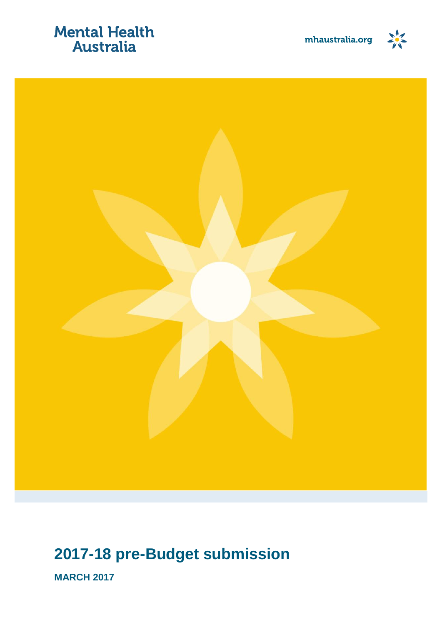## **Mental Health** Australia





## **2017-18 pre-Budget submission**

**MARCH 2017**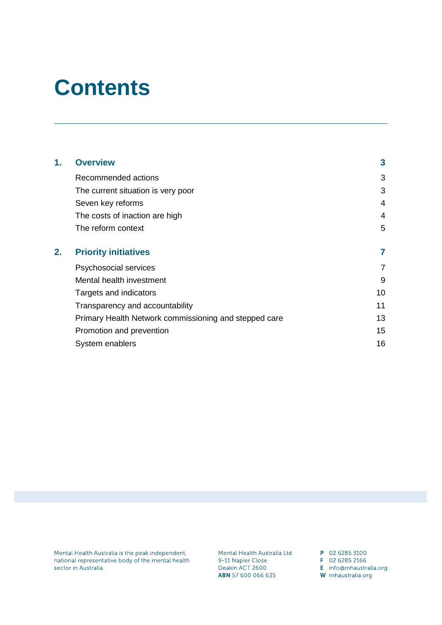## **Contents**

| 1. | <b>Overview</b>                                       | 3  |
|----|-------------------------------------------------------|----|
|    | Recommended actions                                   | 3  |
|    | The current situation is very poor                    | 3  |
|    | Seven key reforms                                     | 4  |
|    | The costs of inaction are high                        | 4  |
|    | The reform context                                    | 5  |
| 2. | <b>Priority initiatives</b>                           |    |
|    | Psychosocial services                                 | 7  |
|    | Mental health investment                              | 9  |
|    | Targets and indicators                                | 10 |
|    | Transparency and accountability                       | 11 |
|    | Primary Health Network commissioning and stepped care | 13 |
|    | Promotion and prevention                              | 15 |
|    | System enablers                                       | 16 |

Mental Health Australia is the peak independent, national representative body of the mental health sector in Australia.

Mental Health Australia Ltd 9-11 Napier Close Deakin ACT 2600 ABN 57 600 066 635

P 02 6285 3100 F 02 6285 2166

E info@mhaustralia.org

W mhaustralia.org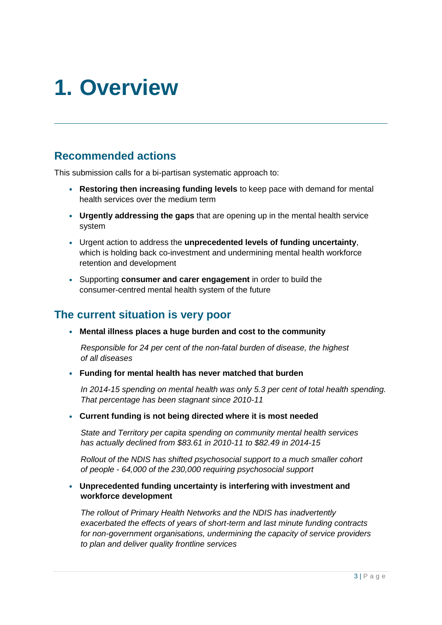## <span id="page-2-0"></span>**1. Overview**

### <span id="page-2-1"></span>**Recommended actions**

This submission calls for a bi-partisan systematic approach to:

- **Restoring then increasing funding levels** to keep pace with demand for mental health services over the medium term
- **Urgently addressing the gaps** that are opening up in the mental health service system
- Urgent action to address the **unprecedented levels of funding uncertainty**, which is holding back co-investment and undermining mental health workforce retention and development
- Supporting **consumer and carer engagement** in order to build the consumer-centred mental health system of the future

### <span id="page-2-2"></span>**The current situation is very poor**

**Mental illness places a huge burden and cost to the community**

*Responsible for 24 per cent of the non-fatal burden of disease, the highest of all diseases*

**Funding for mental health has never matched that burden**

*In 2014-15 spending on mental health was only 5.3 per cent of total health spending. That percentage has been stagnant since 2010-11*

**Current funding is not being directed where it is most needed**

*State and Territory per capita spending on community mental health services has actually declined from \$83.61 in 2010-11 to \$82.49 in 2014-15*

*Rollout of the NDIS has shifted psychosocial support to a much smaller cohort of people - 64,000 of the 230,000 requiring psychosocial support*

#### **Unprecedented funding uncertainty is interfering with investment and workforce development**

*The rollout of Primary Health Networks and the NDIS has inadvertently exacerbated the effects of years of short-term and last minute funding contracts for non-government organisations, undermining the capacity of service providers to plan and deliver quality frontline services*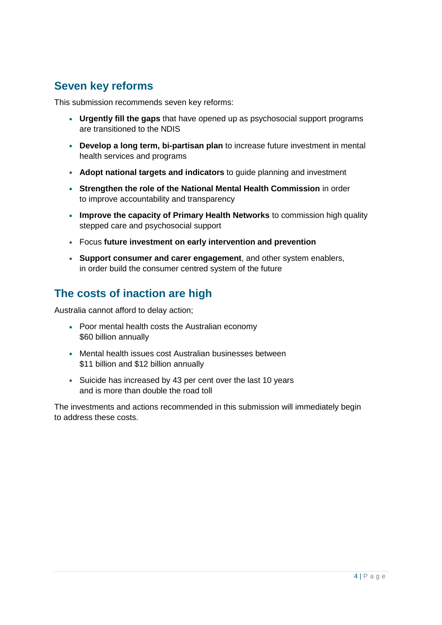## <span id="page-3-0"></span>**Seven key reforms**

This submission recommends seven key reforms:

- **Urgently fill the gaps** that have opened up as psychosocial support programs are transitioned to the NDIS
- **Develop a long term, bi-partisan plan** to increase future investment in mental health services and programs
- **Adopt national targets and indicators** to guide planning and investment
- **Strengthen the role of the National Mental Health Commission** in order to improve accountability and transparency
- **Improve the capacity of Primary Health Networks** to commission high quality stepped care and psychosocial support
- Focus **future investment on early intervention and prevention**
- **Support consumer and carer engagement**, and other system enablers, in order build the consumer centred system of the future

## <span id="page-3-1"></span>**The costs of inaction are high**

Australia cannot afford to delay action;

- Poor mental health costs the Australian economy \$60 billion annually
- Mental health issues cost Australian businesses between \$11 billion and \$12 billion annually
- Suicide has increased by 43 per cent over the last 10 years and is more than double the road toll

The investments and actions recommended in this submission will immediately begin to address these costs.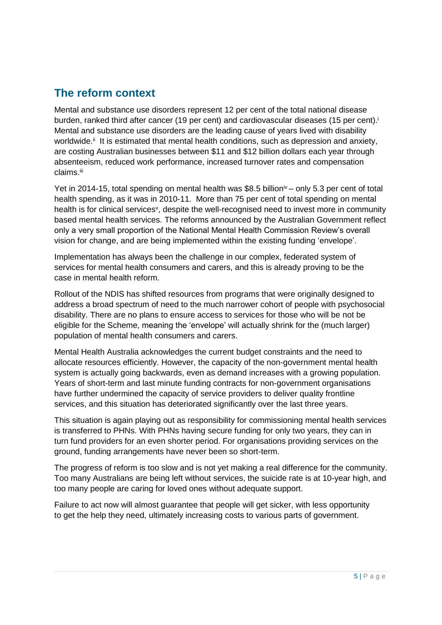### <span id="page-4-0"></span>**The reform context**

Mental and substance use disorders represent 12 per cent of the total national disease burden, ranked third after cancer (19 per cent) and cardiovascular diseases (15 per cent).<sup>i</sup> Mental and substance use disorders are the leading cause of years lived with disability worldwide.<sup>ii</sup> It is estimated that mental health conditions, such as depression and anxiety, are costing Australian businesses between \$11 and \$12 billion dollars each year through absenteeism, reduced work performance, increased turnover rates and compensation claims.iii

Yet in 2014-15, total spending on mental health was \$8.5 billion<sup>iv</sup> – only 5.3 per cent of total health spending, as it was in 2010-11. More than 75 per cent of total spending on mental health is for clinical services<sup>v</sup>, despite the well-recognised need to invest more in community based mental health services. The reforms announced by the Australian Government reflect only a very small proportion of the National Mental Health Commission Review's overall vision for change, and are being implemented within the existing funding 'envelope'.

Implementation has always been the challenge in our complex, federated system of services for mental health consumers and carers, and this is already proving to be the case in mental health reform.

Rollout of the NDIS has shifted resources from programs that were originally designed to address a broad spectrum of need to the much narrower cohort of people with psychosocial disability. There are no plans to ensure access to services for those who will be not be eligible for the Scheme, meaning the 'envelope' will actually shrink for the (much larger) population of mental health consumers and carers.

Mental Health Australia acknowledges the current budget constraints and the need to allocate resources efficiently. However, the capacity of the non-government mental health system is actually going backwards, even as demand increases with a growing population. Years of short-term and last minute funding contracts for non-government organisations have further undermined the capacity of service providers to deliver quality frontline services, and this situation has deteriorated significantly over the last three years.

This situation is again playing out as responsibility for commissioning mental health services is transferred to PHNs. With PHNs having secure funding for only two years, they can in turn fund providers for an even shorter period. For organisations providing services on the ground, funding arrangements have never been so short-term.

The progress of reform is too slow and is not yet making a real difference for the community. Too many Australians are being left without services, the suicide rate is at 10-year high, and too many people are caring for loved ones without adequate support.

Failure to act now will almost guarantee that people will get sicker, with less opportunity to get the help they need, ultimately increasing costs to various parts of government.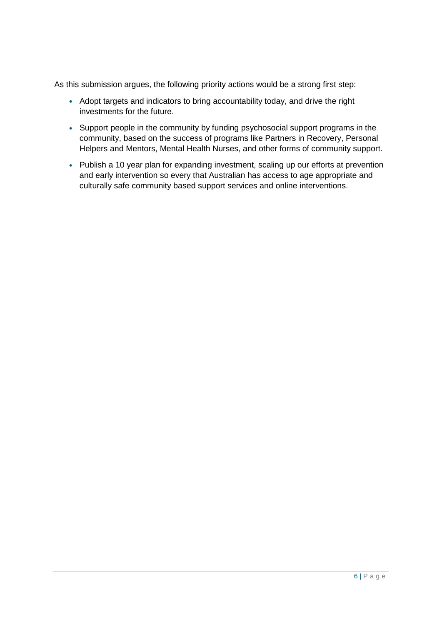As this submission argues, the following priority actions would be a strong first step:

- Adopt targets and indicators to bring accountability today, and drive the right investments for the future.
- Support people in the community by funding psychosocial support programs in the community, based on the success of programs like Partners in Recovery, Personal Helpers and Mentors, Mental Health Nurses, and other forms of community support.
- Publish a 10 year plan for expanding investment, scaling up our efforts at prevention and early intervention so every that Australian has access to age appropriate and culturally safe community based support services and online interventions.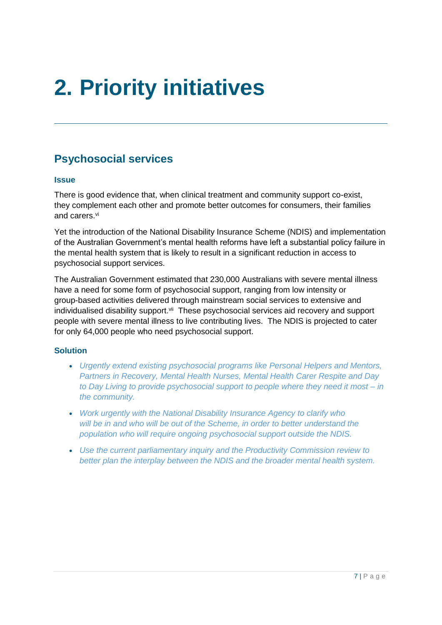# <span id="page-6-0"></span>**2. Priority initiatives**

## <span id="page-6-1"></span>**Psychosocial services**

#### **Issue**

There is good evidence that, when clinical treatment and community support co-exist, they complement each other and promote better outcomes for consumers, their families and carers. vi

Yet the introduction of the National Disability Insurance Scheme (NDIS) and implementation of the Australian Government's mental health reforms have left a substantial policy failure in the mental health system that is likely to result in a significant reduction in access to psychosocial support services.

The Australian Government estimated that 230,000 Australians with severe mental illness have a need for some form of psychosocial support, ranging from low intensity or group-based activities delivered through mainstream social services to extensive and individualised disability support.<sup>vii</sup> These psychosocial services aid recovery and support people with severe mental illness to live contributing lives. The NDIS is projected to cater for only 64,000 people who need psychosocial support.

#### **Solution**

- *Urgently extend existing psychosocial programs like Personal Helpers and Mentors, Partners in Recovery, Mental Health Nurses, Mental Health Carer Respite and Day to Day Living to provide psychosocial support to people where they need it most – in the community.*
- *Work urgently with the National Disability Insurance Agency to clarify who will be in and who will be out of the Scheme, in order to better understand the population who will require ongoing psychosocial support outside the NDIS.*
- *Use the current parliamentary inquiry and the Productivity Commission review to better plan the interplay between the NDIS and the broader mental health system.*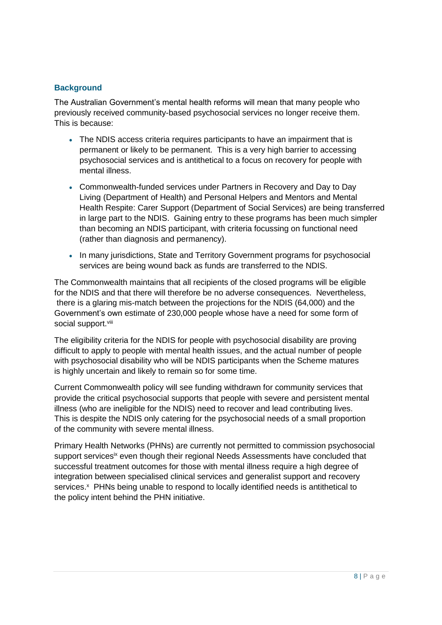#### **Background**

The Australian Government's mental health reforms will mean that many people who previously received community-based psychosocial services no longer receive them. This is because:

- The NDIS access criteria requires participants to have an impairment that is permanent or likely to be permanent. This is a very high barrier to accessing psychosocial services and is antithetical to a focus on recovery for people with mental illness.
- Commonwealth-funded services under Partners in Recovery and Day to Day Living (Department of Health) and Personal Helpers and Mentors and Mental Health Respite: Carer Support (Department of Social Services) are being transferred in large part to the NDIS. Gaining entry to these programs has been much simpler than becoming an NDIS participant, with criteria focussing on functional need (rather than diagnosis and permanency).
- In many jurisdictions, State and Territory Government programs for psychosocial services are being wound back as funds are transferred to the NDIS.

The Commonwealth maintains that all recipients of the closed programs will be eligible for the NDIS and that there will therefore be no adverse consequences. Nevertheless, there is a glaring mis-match between the projections for the NDIS (64,000) and the Government's own estimate of 230,000 people whose have a need for some form of social support.<sup>viii</sup>

The eligibility criteria for the NDIS for people with psychosocial disability are proving difficult to apply to people with mental health issues, and the actual number of people with psychosocial disability who will be NDIS participants when the Scheme matures is highly uncertain and likely to remain so for some time.

Current Commonwealth policy will see funding withdrawn for community services that provide the critical psychosocial supports that people with severe and persistent mental illness (who are ineligible for the NDIS) need to recover and lead contributing lives. This is despite the NDIS only catering for the psychosocial needs of a small proportion of the community with severe mental illness.

Primary Health Networks (PHNs) are currently not permitted to commission psychosocial support services<sup>ix</sup> even though their regional Needs Assessments have concluded that successful treatment outcomes for those with mental illness require a high degree of integration between specialised clinical services and generalist support and recovery services.<sup>x</sup> PHNs being unable to respond to locally identified needs is antithetical to the policy intent behind the PHN initiative.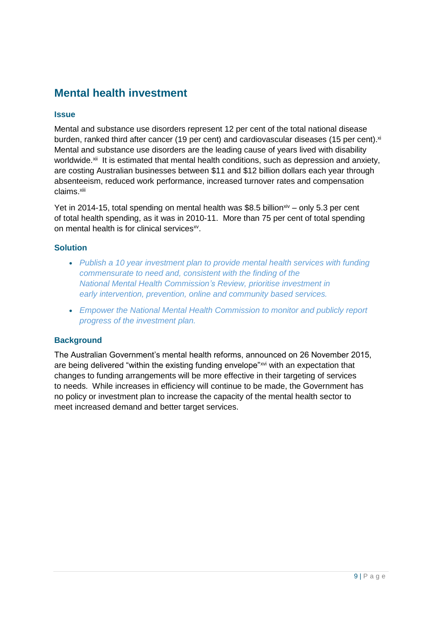## <span id="page-8-0"></span>**Mental health investment**

#### **Issue**

Mental and substance use disorders represent 12 per cent of the total national disease burden, ranked third after cancer (19 per cent) and cardiovascular diseases (15 per cent).<sup>xi</sup> Mental and substance use disorders are the leading cause of years lived with disability worldwide.<sup>xii</sup>lt is estimated that mental health conditions, such as depression and anxiety, are costing Australian businesses between \$11 and \$12 billion dollars each year through absenteeism, reduced work performance, increased turnover rates and compensation claims.<sup>xiii</sup>

Yet in 2014-15, total spending on mental health was \$8.5 billion<sup>xiv</sup> – only 5.3 per cent of total health spending, as it was in 2010-11. More than 75 per cent of total spending on mental health is for clinical services<sup>xv</sup>.

#### **Solution**

- *Publish a 10 year investment plan to provide mental health services with funding commensurate to need and, consistent with the finding of the National Mental Health Commission's Review, prioritise investment in early intervention, prevention, online and community based services.*
- *Empower the National Mental Health Commission to monitor and publicly report progress of the investment plan.*

#### **Background**

The Australian Government's mental health reforms, announced on 26 November 2015, are being delivered "within the existing funding envelope"xvi with an expectation that changes to funding arrangements will be more effective in their targeting of services to needs. While increases in efficiency will continue to be made, the Government has no policy or investment plan to increase the capacity of the mental health sector to meet increased demand and better target services.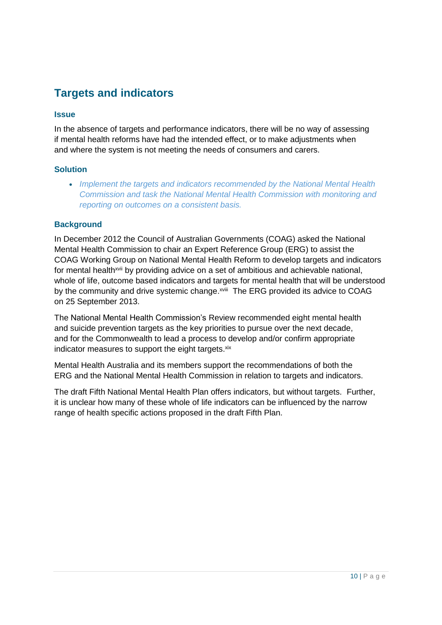## <span id="page-9-0"></span>**Targets and indicators**

#### **Issue**

In the absence of targets and performance indicators, there will be no way of assessing if mental health reforms have had the intended effect, or to make adjustments when and where the system is not meeting the needs of consumers and carers.

#### **Solution**

*Implement the targets and indicators recommended by the National Mental Health Commission and task the National Mental Health Commission with monitoring and reporting on outcomes on a consistent basis.*

#### **Background**

In December 2012 the Council of Australian Governments (COAG) asked the National Mental Health Commission to chair an Expert Reference Group (ERG) to assist the COAG Working Group on National Mental Health Reform to develop targets and indicators for mental health<sup>xvii</sup> by providing advice on a set of ambitious and achievable national, whole of life, outcome based indicators and targets for mental health that will be understood by the community and drive systemic change.<sup>xviii</sup> The ERG provided its advice to COAG on 25 September 2013.

The National Mental Health Commission's Review recommended eight mental health and suicide prevention targets as the key priorities to pursue over the next decade, and for the Commonwealth to lead a process to develop and/or confirm appropriate indicator measures to support the eight targets. xix

Mental Health Australia and its members support the recommendations of both the ERG and the National Mental Health Commission in relation to targets and indicators.

The draft Fifth National Mental Health Plan offers indicators, but without targets. Further, it is unclear how many of these whole of life indicators can be influenced by the narrow range of health specific actions proposed in the draft Fifth Plan.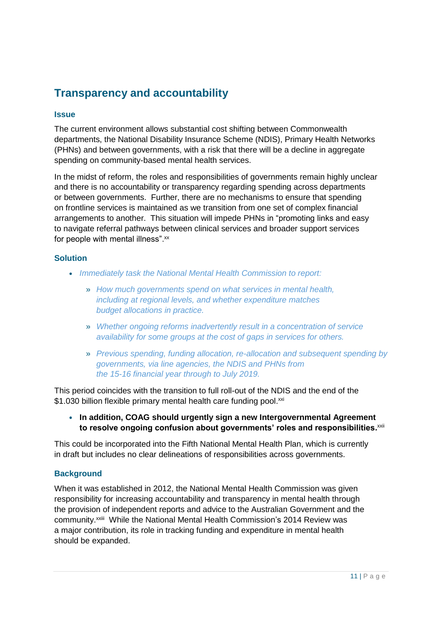## <span id="page-10-0"></span>**Transparency and accountability**

#### **Issue**

The current environment allows substantial cost shifting between Commonwealth departments, the National Disability Insurance Scheme (NDIS), Primary Health Networks (PHNs) and between governments, with a risk that there will be a decline in aggregate spending on community-based mental health services.

In the midst of reform, the roles and responsibilities of governments remain highly unclear and there is no accountability or transparency regarding spending across departments or between governments. Further, there are no mechanisms to ensure that spending on frontline services is maintained as we transition from one set of complex financial arrangements to another. This situation will impede PHNs in "promoting links and easy to navigate referral pathways between clinical services and broader support services for people with mental illness".<sup>xx</sup>

#### **Solution**

- *Immediately task the National Mental Health Commission to report:*
	- » *How much governments spend on what services in mental health, including at regional levels, and whether expenditure matches budget allocations in practice.*
	- » *Whether ongoing reforms inadvertently result in a concentration of service availability for some groups at the cost of gaps in services for others.*
	- » *Previous spending, funding allocation, re-allocation and subsequent spending by governments, via line agencies, the NDIS and PHNs from the 15-16 financial year through to July 2019.*

This period coincides with the transition to full roll-out of the NDIS and the end of the \$1.030 billion flexible primary mental health care funding pool.xxi

**In addition, COAG should urgently sign a new Intergovernmental Agreement**  to resolve ongoing confusion about governments' roles and responsibilities.<sup>xxii</sup>

This could be incorporated into the Fifth National Mental Health Plan, which is currently in draft but includes no clear delineations of responsibilities across governments.

#### **Background**

When it was established in 2012, the National Mental Health Commission was given responsibility for increasing accountability and transparency in mental health through the provision of independent reports and advice to the Australian Government and the community.<sup>xxiii</sup> While the National Mental Health Commission's 2014 Review was a major contribution, its role in tracking funding and expenditure in mental health should be expanded.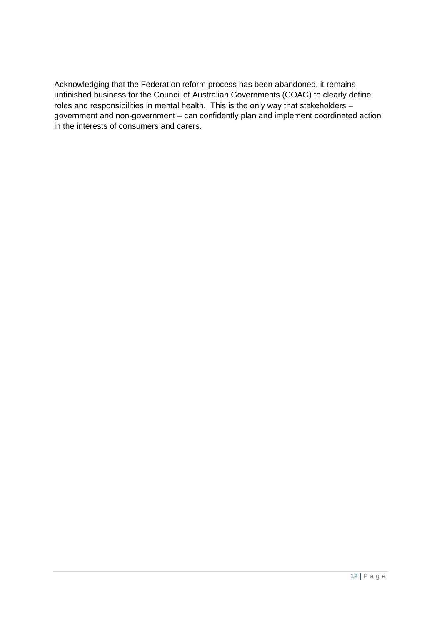Acknowledging that the Federation reform process has been abandoned, it remains unfinished business for the Council of Australian Governments (COAG) to clearly define roles and responsibilities in mental health. This is the only way that stakeholders – government and non-government – can confidently plan and implement coordinated action in the interests of consumers and carers.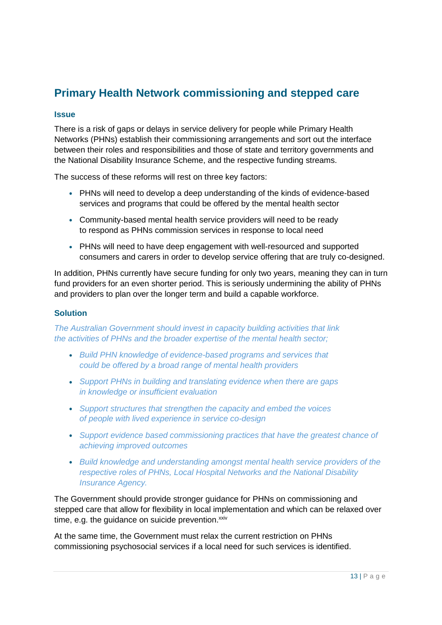## <span id="page-12-0"></span>**Primary Health Network commissioning and stepped care**

#### **Issue**

There is a risk of gaps or delays in service delivery for people while Primary Health Networks (PHNs) establish their commissioning arrangements and sort out the interface between their roles and responsibilities and those of state and territory governments and the National Disability Insurance Scheme, and the respective funding streams.

The success of these reforms will rest on three key factors:

- PHNs will need to develop a deep understanding of the kinds of evidence-based services and programs that could be offered by the mental health sector
- Community-based mental health service providers will need to be ready to respond as PHNs commission services in response to local need
- PHNs will need to have deep engagement with well-resourced and supported consumers and carers in order to develop service offering that are truly co-designed.

In addition, PHNs currently have secure funding for only two years, meaning they can in turn fund providers for an even shorter period. This is seriously undermining the ability of PHNs and providers to plan over the longer term and build a capable workforce.

#### **Solution**

*The Australian Government should invest in capacity building activities that link the activities of PHNs and the broader expertise of the mental health sector;*

- *Build PHN knowledge of evidence-based programs and services that could be offered by a broad range of mental health providers*
- *Support PHNs in building and translating evidence when there are gaps in knowledge or insufficient evaluation*
- *Support structures that strengthen the capacity and embed the voices of people with lived experience in service co-design*
- *Support evidence based commissioning practices that have the greatest chance of achieving improved outcomes*
- *Build knowledge and understanding amongst mental health service providers of the respective roles of PHNs, Local Hospital Networks and the National Disability Insurance Agency.*

The Government should provide stronger guidance for PHNs on commissioning and stepped care that allow for flexibility in local implementation and which can be relaxed over time, e.g. the guidance on suicide prevention.<sup>xxiv</sup>

At the same time, the Government must relax the current restriction on PHNs commissioning psychosocial services if a local need for such services is identified.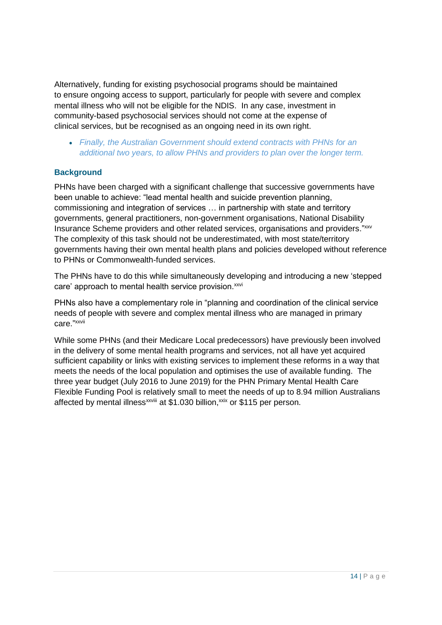Alternatively, funding for existing psychosocial programs should be maintained to ensure ongoing access to support, particularly for people with severe and complex mental illness who will not be eligible for the NDIS. In any case, investment in community-based psychosocial services should not come at the expense of clinical services, but be recognised as an ongoing need in its own right.

*Finally, the Australian Government should extend contracts with PHNs for an additional two years, to allow PHNs and providers to plan over the longer term.* 

#### **Background**

PHNs have been charged with a significant challenge that successive governments have been unable to achieve: "lead mental health and suicide prevention planning, commissioning and integration of services … in partnership with state and territory governments, general practitioners, non-government organisations, National Disability Insurance Scheme providers and other related services, organisations and providers."xxv The complexity of this task should not be underestimated, with most state/territory governments having their own mental health plans and policies developed without reference to PHNs or Commonwealth-funded services.

The PHNs have to do this while simultaneously developing and introducing a new 'stepped care' approach to mental health service provision.<sup>xxvi</sup>

PHNs also have a complementary role in "planning and coordination of the clinical service needs of people with severe and complex mental illness who are managed in primary care." xxvii

While some PHNs (and their Medicare Local predecessors) have previously been involved in the delivery of some mental health programs and services, not all have yet acquired sufficient capability or links with existing services to implement these reforms in a way that meets the needs of the local population and optimises the use of available funding. The three year budget (July 2016 to June 2019) for the PHN Primary Mental Health Care Flexible Funding Pool is relatively small to meet the needs of up to 8.94 million Australians affected by mental illness<sup>xxviii</sup> at \$1.030 billion,<sup>xxix</sup> or \$115 per person.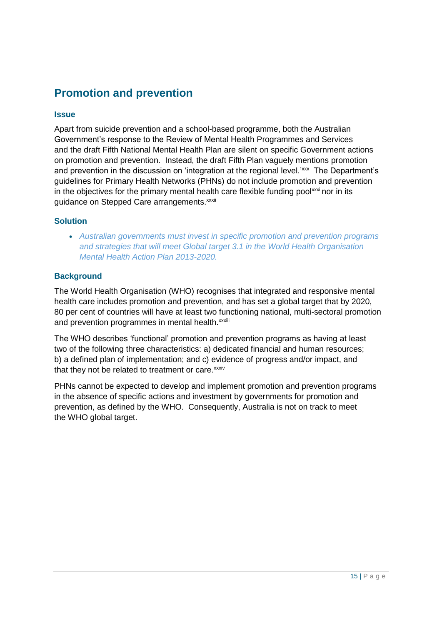## <span id="page-14-0"></span>**Promotion and prevention**

#### **Issue**

Apart from suicide prevention and a school-based programme, both the Australian Government's response to the Review of Mental Health Programmes and Services and the draft Fifth National Mental Health Plan are silent on specific Government actions on promotion and prevention. Instead, the draft Fifth Plan vaguely mentions promotion and prevention in the discussion on 'integration at the regional level.<sup>'xxx</sup> The Department's guidelines for Primary Health Networks (PHNs) do not include promotion and prevention in the objectives for the primary mental health care flexible funding pool<sup> $xxxi$ </sup> nor in its guidance on Stepped Care arrangements. xxxii

#### **Solution**

*Australian governments must invest in specific promotion and prevention programs and strategies that will meet Global target 3.1 in the World Health Organisation Mental Health Action Plan 2013-2020.*

#### **Background**

The World Health Organisation (WHO) recognises that integrated and responsive mental health care includes promotion and prevention, and has set a global target that by 2020, 80 per cent of countries will have at least two functioning national, multi-sectoral promotion and prevention programmes in mental health. xxxiii

The WHO describes 'functional' promotion and prevention programs as having at least two of the following three characteristics: a) dedicated financial and human resources; b) a defined plan of implementation; and c) evidence of progress and/or impact, and that they not be related to treatment or care.<sup>xxxiv</sup>

PHNs cannot be expected to develop and implement promotion and prevention programs in the absence of specific actions and investment by governments for promotion and prevention, as defined by the WHO. Consequently, Australia is not on track to meet the WHO global target.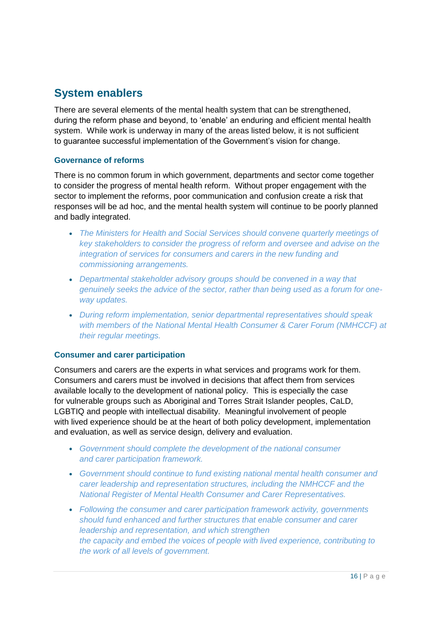## <span id="page-15-0"></span>**System enablers**

There are several elements of the mental health system that can be strengthened, during the reform phase and beyond, to 'enable' an enduring and efficient mental health system. While work is underway in many of the areas listed below, it is not sufficient to guarantee successful implementation of the Government's vision for change.

#### **Governance of reforms**

There is no common forum in which government, departments and sector come together to consider the progress of mental health reform. Without proper engagement with the sector to implement the reforms, poor communication and confusion create a risk that responses will be ad hoc, and the mental health system will continue to be poorly planned and badly integrated.

- *The Ministers for Health and Social Services should convene quarterly meetings of key stakeholders to consider the progress of reform and oversee and advise on the integration of services for consumers and carers in the new funding and commissioning arrangements.*
- *Departmental stakeholder advisory groups should be convened in a way that genuinely seeks the advice of the sector, rather than being used as a forum for oneway updates.*
- *During reform implementation, senior departmental representatives should speak with members of the National Mental Health Consumer & Carer Forum (NMHCCF) at their regular meetings.*

#### **Consumer and carer participation**

Consumers and carers are the experts in what services and programs work for them. Consumers and carers must be involved in decisions that affect them from services available locally to the development of national policy. This is especially the case for vulnerable groups such as Aboriginal and Torres Strait Islander peoples, CaLD, LGBTIQ and people with intellectual disability. Meaningful involvement of people with lived experience should be at the heart of both policy development, implementation and evaluation, as well as service design, delivery and evaluation.

- *Government should complete the development of the national consumer and carer participation framework.*
- *Government should continue to fund existing national mental health consumer and carer leadership and representation structures, including the NMHCCF and the National Register of Mental Health Consumer and Carer Representatives.*
- *Following the consumer and carer participation framework activity, governments should fund enhanced and further structures that enable consumer and carer leadership and representation, and which strengthen the capacity and embed the voices of people with lived experience, contributing to the work of all levels of government.*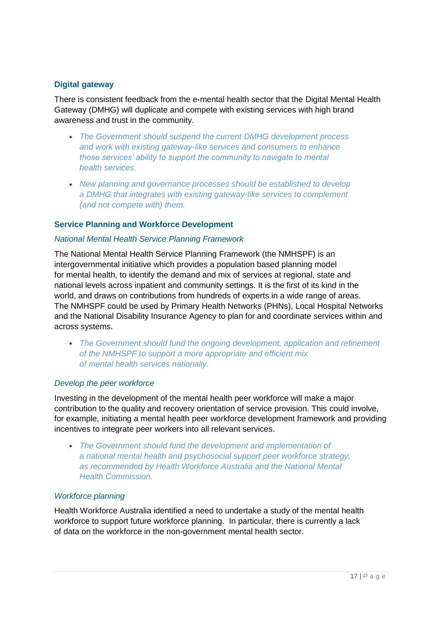#### **Digital gateway**

There is consistent feedback from the e-mental health sector that the Digital Mental Health Gateway (DMHG) will duplicate and compete with existing services with high brand awareness and trust in the community.

- *The Government should suspend the current DMHG development process and work with existing gateway-like services and consumers to enhance those services' ability to support the community to navigate to mental health services.*
- *New planning and governance processes should be established to develop a DMHG that integrates with existing gateway-like services to complement (and not compete with) them.*

#### **Service Planning and Workforce Development**

#### *National Mental Health Service Planning Framework*

The National Mental Health Service Planning Framework (the NMHSPF) is an intergovernmental initiative which provides a population based planning model for mental health, to identify the demand and mix of services at regional, state and national levels across inpatient and community settings. It is the first of its kind in the world, and draws on contributions from hundreds of experts in a wide range of areas. The NMHSPF could be used by Primary Health Networks (PHNs), Local Hospital Networks and the National Disability Insurance Agency to plan for and coordinate services within and across systems.

*The Government should fund the ongoing development, application and refinement of the NMHSPF to support a more appropriate and efficient mix of mental health services nationally.*

#### *Develop the peer workforce*

Investing in the development of the mental health peer workforce will make a major contribution to the quality and recovery orientation of service provision. This could involve, for example, initiating a mental health peer workforce development framework and providing incentives to integrate peer workers into all relevant services.

*The Government should fund the development and implementation of a national mental health and psychosocial support peer workforce strategy, as recommended by Health Workforce Australia and the National Mental Health Commission.*

#### *Workforce planning*

Health Workforce Australia identified a need to undertake a study of the mental health workforce to support future workforce planning. In particular, there is currently a lack of data on the workforce in the non-government mental health sector.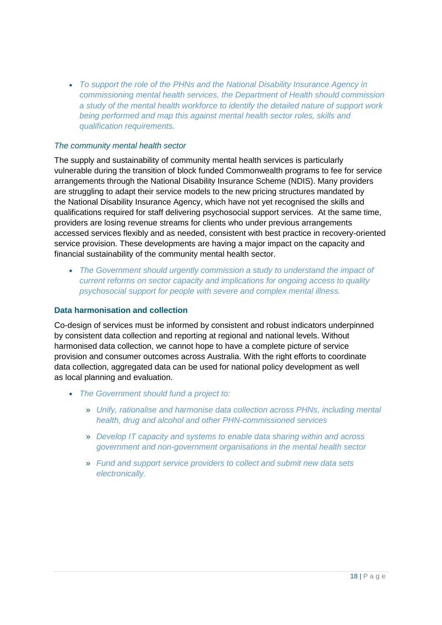*To support the role of the PHNs and the National Disability Insurance Agency in commissioning mental health services, the Department of Health should commission a study of the mental health workforce to identify the detailed nature of support work being performed and map this against mental health sector roles, skills and qualification requirements.*

#### *The community mental health sector*

The supply and sustainability of community mental health services is particularly vulnerable during the transition of block funded Commonwealth programs to fee for service arrangements through the National Disability Insurance Scheme (NDIS). Many providers are struggling to adapt their service models to the new pricing structures mandated by the National Disability Insurance Agency, which have not yet recognised the skills and qualifications required for staff delivering psychosocial support services. At the same time, providers are losing revenue streams for clients who under previous arrangements accessed services flexibly and as needed, consistent with best practice in recovery-oriented service provision. These developments are having a major impact on the capacity and financial sustainability of the community mental health sector.

*The Government should urgently commission a study to understand the impact of current reforms on sector capacity and implications for ongoing access to quality psychosocial support for people with severe and complex mental illness.*

#### **Data harmonisation and collection**

Co-design of services must be informed by consistent and robust indicators underpinned by consistent data collection and reporting at regional and national levels. Without harmonised data collection, we cannot hope to have a complete picture of service provision and consumer outcomes across Australia. With the right efforts to coordinate data collection, aggregated data can be used for national policy development as well as local planning and evaluation.

- *The Government should fund a project to:*
	- » *Unify, rationalise and harmonise data collection across PHNs, including mental health, drug and alcohol and other PHN-commissioned services*
	- » *Develop IT capacity and systems to enable data sharing within and across government and non-government organisations in the mental health sector*
	- » *Fund and support service providers to collect and submit new data sets electronically.*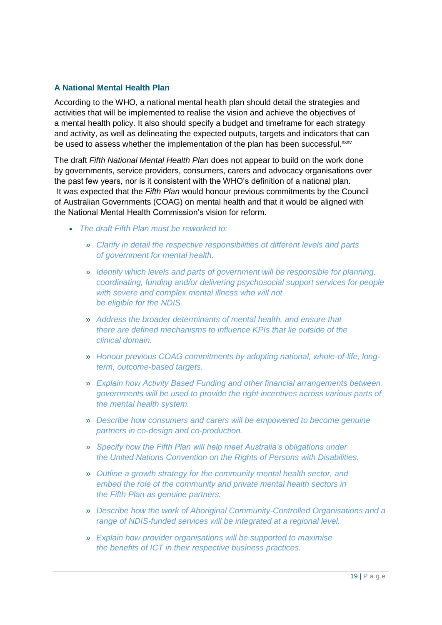#### **A National Mental Health Plan**

According to the WHO, a national mental health plan should detail the strategies and activities that will be implemented to realise the vision and achieve the objectives of a mental health policy. It also should specify a budget and timeframe for each strategy and activity, as well as delineating the expected outputs, targets and indicators that can be used to assess whether the implementation of the plan has been successful.<sup>xxxv</sup>

The draft *Fifth National Mental Health Plan* does not appear to build on the work done by governments, service providers, consumers, carers and advocacy organisations over the past few years, nor is it consistent with the WHO's definition of a national plan. It was expected that the *Fifth Plan* would honour previous commitments by the Council of Australian Governments (COAG) on mental health and that it would be aligned with the National Mental Health Commission's vision for reform.

- *The draft Fifth Plan must be reworked to:*
	- » *Clarify in detail the respective responsibilities of different levels and parts of government for mental health.*
	- » *Identify which levels and parts of government will be responsible for planning, coordinating, funding and/or delivering psychosocial support services for people with severe and complex mental illness who will not be eligible for the NDIS.*
	- » *Address the broader determinants of mental health, and ensure that there are defined mechanisms to influence KPIs that lie outside of the clinical domain.*
	- » *Honour previous COAG commitments by adopting national, whole-of-life, longterm, outcome-based targets.*
	- » *Explain how Activity Based Funding and other financial arrangements between governments will be used to provide the right incentives across various parts of the mental health system.*
	- » *Describe how consumers and carers will be empowered to become genuine partners in co-design and co-production.*
	- » *Specify how the Fifth Plan will help meet Australia's obligations under the United Nations Convention on the Rights of Persons with Disabilities.*
	- » *Outline a growth strategy for the community mental health sector, and embed the role of the community and private mental health sectors in the Fifth Plan as genuine partners.*
	- » *Describe how the work of Aboriginal Community-Controlled Organisations and a range of NDIS-funded services will be integrated at a regional level.*
	- » *Explain how provider organisations will be supported to maximise the benefits of ICT in their respective business practices.*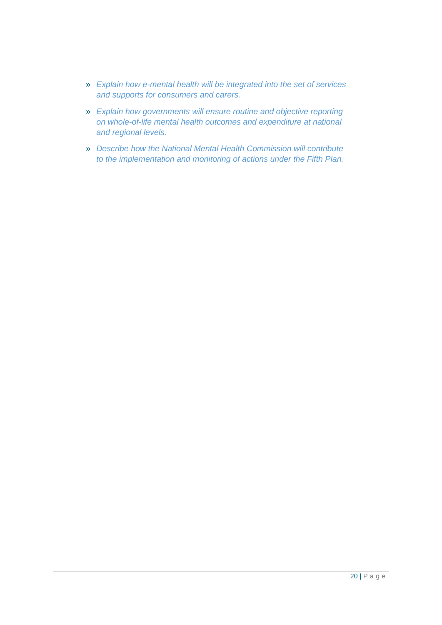- » *Explain how e-mental health will be integrated into the set of services and supports for consumers and carers.*
- » *Explain how governments will ensure routine and objective reporting on whole-of-life mental health outcomes and expenditure at national and regional levels.*
- » *Describe how the National Mental Health Commission will contribute to the implementation and monitoring of actions under the Fifth Plan.*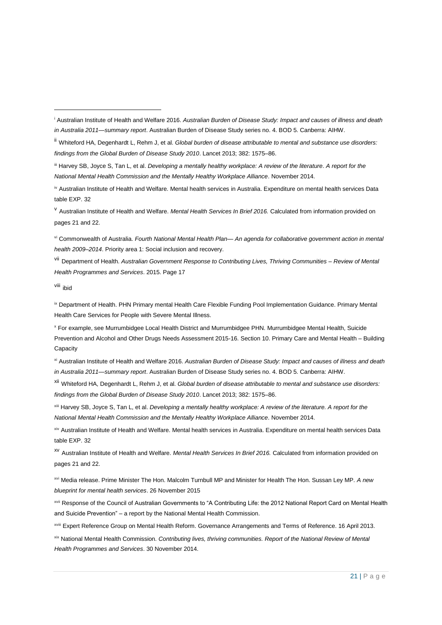<sup>v</sup> Australian Institute of Health and Welfare. *Mental Health Services In Brief 2016.* Calculated from information provided on pages 21 and 22.

vi Commonwealth of Australia. *Fourth National Mental Health Plan— An agenda for collaborative government action in mental health 2009–2014*. Priority area 1: Social inclusion and recovery.

vii Department of Health. *Australian Government Response to Contributing Lives, Thriving Communities – Review of Mental Health Programmes and Services*. 2015. Page 17

viii ibid

 $\overline{a}$ 

ix Department of Health. PHN Primary mental Health Care Flexible Funding Pool Implementation Guidance. Primary Mental Health Care Services for People with Severe Mental Illness.

<sup>x</sup> For example, see Murrumbidgee Local Health District and Murrumbidgee PHN. Murrumbidgee Mental Health, Suicide Prevention and Alcohol and Other Drugs Needs Assessment 2015-16. Section 10. Primary Care and Mental Health – Building **Capacity** 

xi Australian Institute of Health and Welfare 2016. *Australian Burden of Disease Study: Impact and causes of illness and death in Australia 2011—summary report*. Australian Burden of Disease Study series no. 4. BOD 5. Canberra: AIHW.

xii Whiteford HA, Degenhardt L, Rehm J, et al. *Global burden of disease attributable to mental and substance use disorders: findings from the Global Burden of Disease Study 2010*. Lancet 2013; 382: 1575–86.

xiii Harvey SB, Joyce S, Tan L, et al. *Developing a mentally healthy workplace: A review of the literature. A report for the National Mental Health Commission and the Mentally Healthy Workplace Alliance*. November 2014.

xiv Australian Institute of Health and Welfare. Mental health services in Australia. Expenditure on mental health services Data table EXP. 32

xv Australian Institute of Health and Welfare. *Mental Health Services In Brief 2016.* Calculated from information provided on pages 21 and 22.

xvi Media release. Prime Minister The Hon. Malcolm Turnbull MP and Minister for Health The Hon. Sussan Ley MP. *A new blueprint for mental health services*. 26 November 2015

xvii Response of the Council of Australian Governments to "A Contributing Life: the 2012 National Report Card on Mental Health and Suicide Prevention" – a report by the National Mental Health Commission.

xviii Expert Reference Group on Mental Health Reform. Governance Arrangements and Terms of Reference. 16 April 2013.

xix National Mental Health Commission. *Contributing lives, thriving communities. Report of the National Review of Mental Health Programmes and Services*. 30 November 2014.

<sup>i</sup> Australian Institute of Health and Welfare 2016. *Australian Burden of Disease Study: Impact and causes of illness and death in Australia 2011—summary report*. Australian Burden of Disease Study series no. 4. BOD 5. Canberra: AIHW.

ii Whiteford HA, Degenhardt L, Rehm J, et al. *Global burden of disease attributable to mental and substance use disorders: findings from the Global Burden of Disease Study 2010*. Lancet 2013; 382: 1575–86.

iii Harvey SB, Joyce S, Tan L, et al. *Developing a mentally healthy workplace: A review of the literature. A report for the National Mental Health Commission and the Mentally Healthy Workplace Alliance*. November 2014.

iv Australian Institute of Health and Welfare. Mental health services in Australia. Expenditure on mental health services Data table EXP. 32